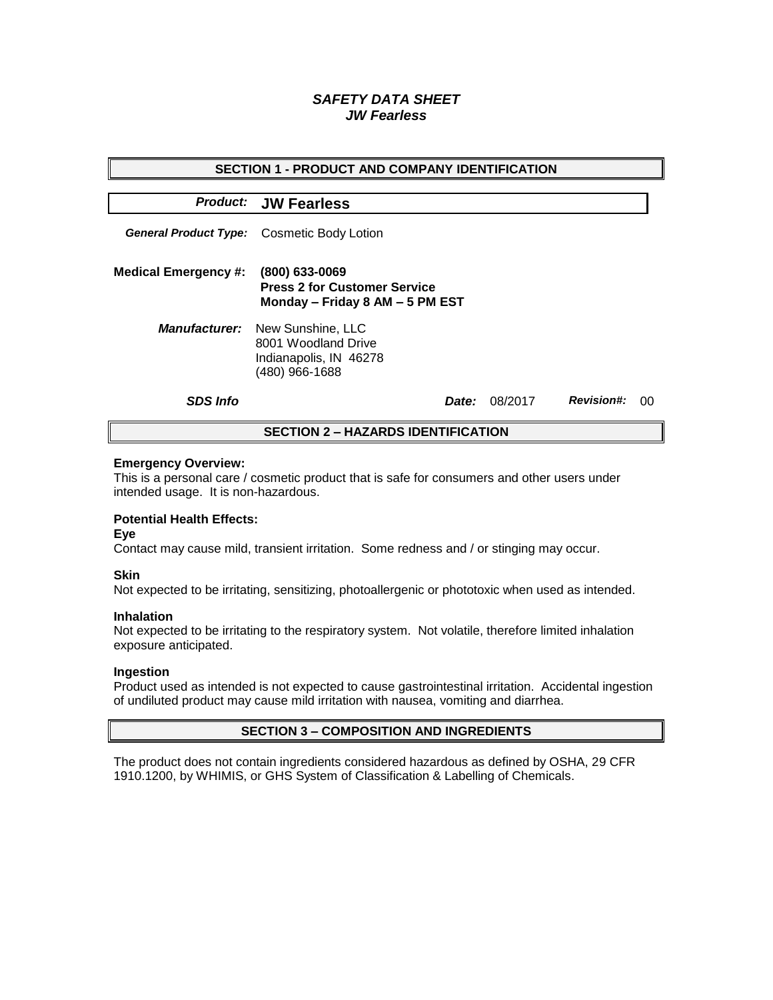# *SAFETY DATA SHEET JW Fearless*

| <b>SECTION 1 - PRODUCT AND COMPANY IDENTIFICATION</b> |                                                                                                           |              |         |                   |    |  |
|-------------------------------------------------------|-----------------------------------------------------------------------------------------------------------|--------------|---------|-------------------|----|--|
|                                                       | <b>Product: JW Fearless</b>                                                                               |              |         |                   |    |  |
|                                                       | General Product Type: Cosmetic Body Lotion                                                                |              |         |                   |    |  |
| <b>Medical Emergency #:</b>                           | (800) 633-0069<br><b>Press 2 for Customer Service</b><br>Monday - Friday 8 AM - 5 PM EST                  |              |         |                   |    |  |
|                                                       | <b>Manufacturer:</b> New Sunshine, LLC<br>8001 Woodland Drive<br>Indianapolis, IN 46278<br>(480) 966-1688 |              |         |                   |    |  |
| <b>SDS Info</b>                                       |                                                                                                           | <i>Date:</i> | 08/2017 | <b>Revision#:</b> | 00 |  |
| <b>SECTION 2 - HAZARDS IDENTIFICATION</b>             |                                                                                                           |              |         |                   |    |  |

#### **Emergency Overview:**

This is a personal care / cosmetic product that is safe for consumers and other users under intended usage. It is non-hazardous.

## **Potential Health Effects:**

**Eye**

Contact may cause mild, transient irritation. Some redness and / or stinging may occur.

### **Skin**

Not expected to be irritating, sensitizing, photoallergenic or phototoxic when used as intended.

#### **Inhalation**

Not expected to be irritating to the respiratory system. Not volatile, therefore limited inhalation exposure anticipated.

### **Ingestion**

Product used as intended is not expected to cause gastrointestinal irritation. Accidental ingestion of undiluted product may cause mild irritation with nausea, vomiting and diarrhea.

### **SECTION 3 – COMPOSITION AND INGREDIENTS**

The product does not contain ingredients considered hazardous as defined by OSHA, 29 CFR 1910.1200, by WHIMIS, or GHS System of Classification & Labelling of Chemicals.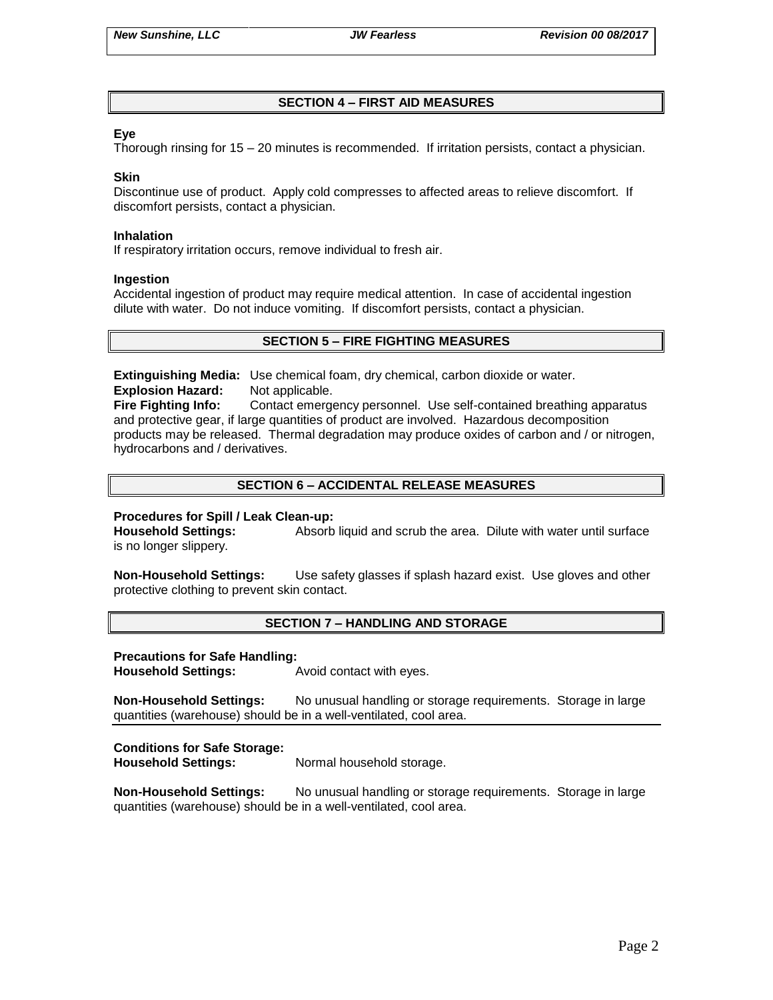# **SECTION 4 – FIRST AID MEASURES**

## **Eye**

Thorough rinsing for 15 – 20 minutes is recommended. If irritation persists, contact a physician.

### **Skin**

Discontinue use of product. Apply cold compresses to affected areas to relieve discomfort. If discomfort persists, contact a physician.

#### **Inhalation**

If respiratory irritation occurs, remove individual to fresh air.

#### **Ingestion**

Accidental ingestion of product may require medical attention. In case of accidental ingestion dilute with water. Do not induce vomiting. If discomfort persists, contact a physician.

## **SECTION 5 – FIRE FIGHTING MEASURES**

**Extinguishing Media:** Use chemical foam, dry chemical, carbon dioxide or water. **Explosion Hazard:** Not applicable.

**Fire Fighting Info:** Contact emergency personnel. Use self-contained breathing apparatus and protective gear, if large quantities of product are involved. Hazardous decomposition products may be released. Thermal degradation may produce oxides of carbon and / or nitrogen, hydrocarbons and / derivatives.

## **SECTION 6 – ACCIDENTAL RELEASE MEASURES**

### **Procedures for Spill / Leak Clean-up:**

**Household Settings:** Absorb liquid and scrub the area. Dilute with water until surface is no longer slippery.

**Non-Household Settings:** Use safety glasses if splash hazard exist. Use gloves and other protective clothing to prevent skin contact.

### **SECTION 7 – HANDLING AND STORAGE**

### **Precautions for Safe Handling:**

**Household Settings:** Avoid contact with eyes.

**Non-Household Settings:** No unusual handling or storage requirements. Storage in large quantities (warehouse) should be in a well-ventilated, cool area.

### **Conditions for Safe Storage:**

**Household Settings:** Normal household storage.

**Non-Household Settings:** No unusual handling or storage requirements. Storage in large quantities (warehouse) should be in a well-ventilated, cool area.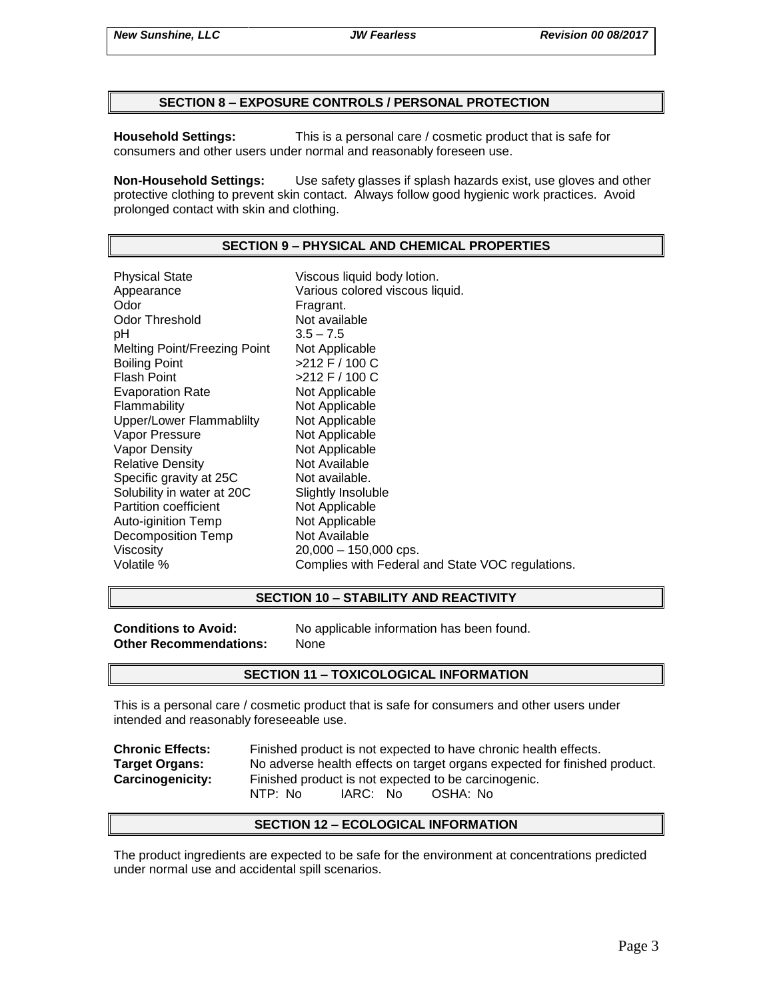### **SECTION 8 – EXPOSURE CONTROLS / PERSONAL PROTECTION**

**Household Settings:** This is a personal care / cosmetic product that is safe for consumers and other users under normal and reasonably foreseen use.

**Non-Household Settings:** Use safety glasses if splash hazards exist, use gloves and other protective clothing to prevent skin contact. Always follow good hygienic work practices. Avoid prolonged contact with skin and clothing.

# **SECTION 9 – PHYSICAL AND CHEMICAL PROPERTIES**

Physical State Viscous liquid body lotion. Appearance **Various colored viscous liquid.**<br>
Odor Communication Colore Fragrant. Odor Threshold Not available pH 3.5 – 7.5 Melting Point/Freezing Point Not Applicable Boiling Point >212 F / 100 C Flash Point  $>212$  F / 100 C Evaporation Rate Not Applicable Flammability Not Applicable Upper/Lower Flammablilty Not Applicable Vapor Pressure Not Applicable Vapor Density Not Applicable Relative Density Not Available Specific gravity at 25C Not available. Solubility in water at 20C Slightly Insoluble<br>
Partition coefficient
Subsetted Not Applicable Partition coefficient Auto-iginition Temp Not Applicable Decomposition Temp Not Available Viscosity 20,000 – 150,000 cps. Volatile % Complies with Federal and State VOC regulations.

### **SECTION 10 – STABILITY AND REACTIVITY**

**Other Recommendations:** None

**Conditions to Avoid:** No applicable information has been found.

### **SECTION 11 – TOXICOLOGICAL INFORMATION**

This is a personal care / cosmetic product that is safe for consumers and other users under intended and reasonably foreseeable use.

**Chronic Effects:** Finished product is not expected to have chronic health effects. **Target Organs:** No adverse health effects on target organs expected for finished product. **Carcinogenicity:** Finished product is not expected to be carcinogenic. NTP: No IARC: No OSHA: No

### **SECTION 12 – ECOLOGICAL INFORMATION**

The product ingredients are expected to be safe for the environment at concentrations predicted under normal use and accidental spill scenarios.